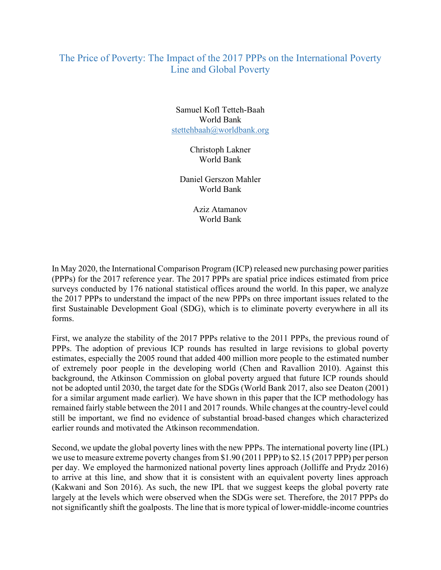## The Price of Poverty: The Impact of the 2017 PPPs on the International Poverty Line and Global Poverty

Samuel Kofl Tetteh-Baah World Bank stettehbaah@worldbank.org

> Christoph Lakner World Bank

Daniel Gerszon Mahler World Bank

> Aziz Atamanov World Bank

In May 2020, the International Comparison Program (ICP) released new purchasing power parities (PPPs) for the 2017 reference year. The 2017 PPPs are spatial price indices estimated from price surveys conducted by 176 national statistical offices around the world. In this paper, we analyze the 2017 PPPs to understand the impact of the new PPPs on three important issues related to the first Sustainable Development Goal (SDG), which is to eliminate poverty everywhere in all its forms.

First, we analyze the stability of the 2017 PPPs relative to the 2011 PPPs, the previous round of PPPs. The adoption of previous ICP rounds has resulted in large revisions to global poverty estimates, especially the 2005 round that added 400 million more people to the estimated number of extremely poor people in the developing world (Chen and Ravallion 2010). Against this background, the Atkinson Commission on global poverty argued that future ICP rounds should not be adopted until 2030, the target date for the SDGs (World Bank 2017, also see Deaton (2001) for a similar argument made earlier). We have shown in this paper that the ICP methodology has remained fairly stable between the 2011 and 2017 rounds. While changes at the country-level could still be important, we find no evidence of substantial broad-based changes which characterized earlier rounds and motivated the Atkinson recommendation.

Second, we update the global poverty lines with the new PPPs. The international poverty line (IPL) we use to measure extreme poverty changes from \$1.90 (2011 PPP) to \$2.15 (2017 PPP) per person per day. We employed the harmonized national poverty lines approach (Jolliffe and Prydz 2016) to arrive at this line, and show that it is consistent with an equivalent poverty lines approach (Kakwani and Son 2016). As such, the new IPL that we suggest keeps the global poverty rate largely at the levels which were observed when the SDGs were set. Therefore, the 2017 PPPs do not significantly shift the goalposts. The line that is more typical of lower-middle-income countries